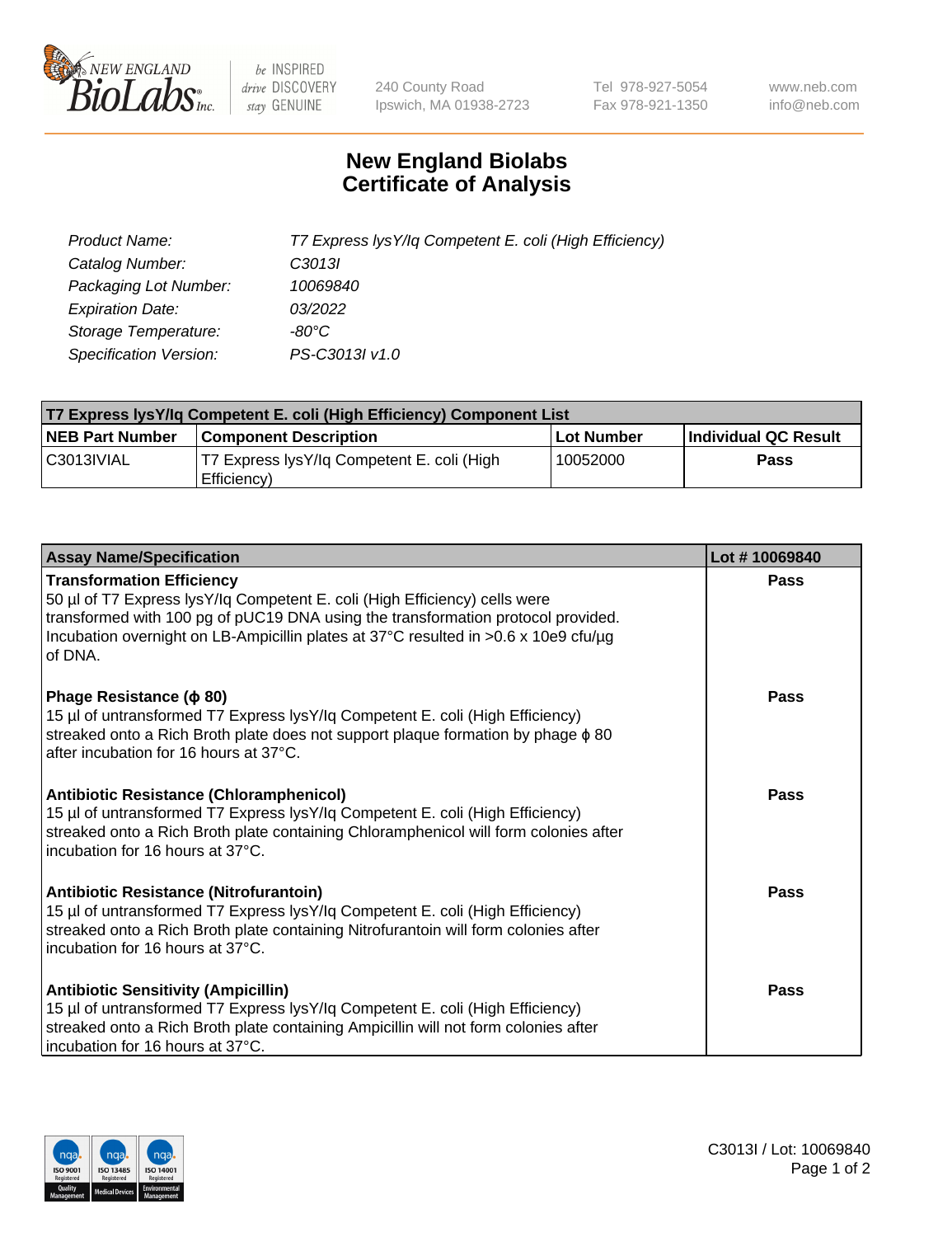

 $be$  INSPIRED drive DISCOVERY stay GENUINE

240 County Road Ipswich, MA 01938-2723 Tel 978-927-5054 Fax 978-921-1350 www.neb.com info@neb.com

## **New England Biolabs Certificate of Analysis**

| Product Name:                 | T7 Express lysY/lq Competent E. coli (High Efficiency) |
|-------------------------------|--------------------------------------------------------|
| Catalog Number:               | C <sub>3013</sub>                                      |
| Packaging Lot Number:         | 10069840                                               |
| <b>Expiration Date:</b>       | 03/2022                                                |
| Storage Temperature:          | -80°C                                                  |
| <b>Specification Version:</b> | PS-C3013I v1.0                                         |

| T7 Express lysY/lq Competent E. coli (High Efficiency) Component List |                                                           |            |                      |  |
|-----------------------------------------------------------------------|-----------------------------------------------------------|------------|----------------------|--|
| <b>NEB Part Number</b>                                                | <b>Component Description</b>                              | Lot Number | Individual QC Result |  |
| C3013IVIAL                                                            | T7 Express lysY/lg Competent E. coli (High<br>Efficiency) | 10052000   | <b>Pass</b>          |  |

| <b>Assay Name/Specification</b>                                                                                                                                                                                                                                                                      | Lot #10069840 |
|------------------------------------------------------------------------------------------------------------------------------------------------------------------------------------------------------------------------------------------------------------------------------------------------------|---------------|
| <b>Transformation Efficiency</b><br>50 µl of T7 Express lysY/lq Competent E. coli (High Efficiency) cells were<br>transformed with 100 pg of pUC19 DNA using the transformation protocol provided.<br>Incubation overnight on LB-Ampicillin plates at 37°C resulted in >0.6 x 10e9 cfu/µg<br>of DNA. | Pass          |
| Phage Resistance ( $\phi$ 80)<br>15 µl of untransformed T7 Express lysY/lq Competent E. coli (High Efficiency)<br>streaked onto a Rich Broth plate does not support plaque formation by phage $\phi$ 80<br>after incubation for 16 hours at 37°C.                                                    | Pass          |
| Antibiotic Resistance (Chloramphenicol)<br>15 µl of untransformed T7 Express lysY/lq Competent E. coli (High Efficiency)<br>streaked onto a Rich Broth plate containing Chloramphenicol will form colonies after<br>incubation for 16 hours at 37°C.                                                 | Pass          |
| Antibiotic Resistance (Nitrofurantoin)<br>15 µl of untransformed T7 Express lysY/lq Competent E. coli (High Efficiency)<br>streaked onto a Rich Broth plate containing Nitrofurantoin will form colonies after<br>incubation for 16 hours at 37°C.                                                   | Pass          |
| <b>Antibiotic Sensitivity (Ampicillin)</b><br>15 µl of untransformed T7 Express lysY/lq Competent E. coli (High Efficiency)<br>streaked onto a Rich Broth plate containing Ampicillin will not form colonies after<br>incubation for 16 hours at 37°C.                                               | Pass          |